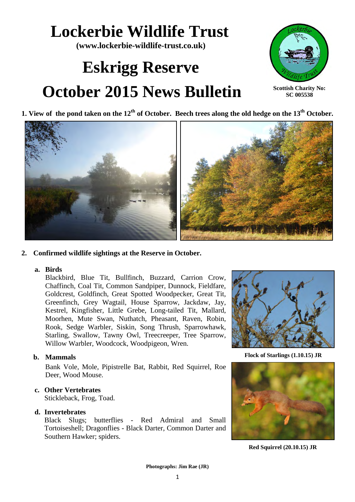## **Lockerbie Wildlife Trust**

**(www.lockerbie-wildlife-trust.co.uk)** 

# **Eskrigg Reserve October 2015 News Bulletin**



**Scottish Charity No: SC 005538**





## **2. Confirmed wildlife sightings at the Reserve in October.**

### **a. Birds**

Blackbird, Blue Tit, Bullfinch, Buzzard, Carrion Crow, Chaffinch, Coal Tit, Common Sandpiper, Dunnock, Fieldfare, Goldcrest, Goldfinch, Great Spotted Woodpecker, Great Tit, Greenfinch, Grey Wagtail, House Sparrow, Jackdaw, Jay, Kestrel, Kingfisher, Little Grebe, Long-tailed Tit, Mallard, Moorhen, Mute Swan, Nuthatch, Pheasant, Raven, Robin, Rook, Sedge Warbler, Siskin, Song Thrush, Sparrowhawk, Starling, Swallow, Tawny Owl, Treecreeper, Tree Sparrow, Willow Warbler, Woodcock, Woodpigeon, Wren.

## **b. Mammals**

Bank Vole, Mole, Pipistrelle Bat, Rabbit, Red Squirrel, Roe Deer, Wood Mouse.

## **c. Other Vertebrates**

Stickleback, Frog, Toad.

### **d. Invertebrates**

Black Slugs; butterflies - Red Admiral and Small Tortoiseshell; Dragonflies - Black Darter, Common Darter and Southern Hawker; spiders.



**Flock of Starlings (1.10.15) JR**



**Red Squirrel (20.10.15) JR**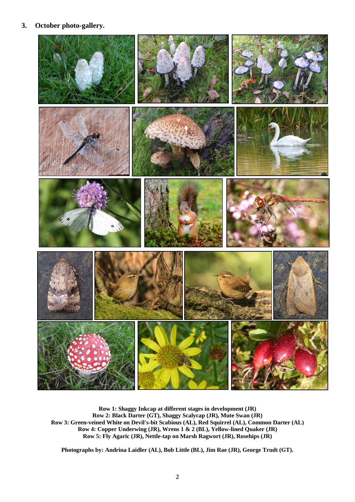## **3. October photo-gallery.**



**Row 1: Shaggy Inkcap at different stages in development (JR) Row 2: Black Darter (GT), Shaggy Scalycap (JR), Mute Swan (JR) Row 3: Green-veined White on Devil's-bit Scabious (AL), Red Squirrel (AL), Common Darter (AL) Row 4: Copper Underwing (JR), Wrens 1 & 2 (BL), Yellow-lined Quaker (JR) Row 5: Fly Agaric (JR), Nettle-tap on Marsh Ragwort (JR), Rosehips (JR)**

**Photographs by: Andrina Laidler (AL), Bob Little (BL), Jim Rae (JR), George Trudt (GT).**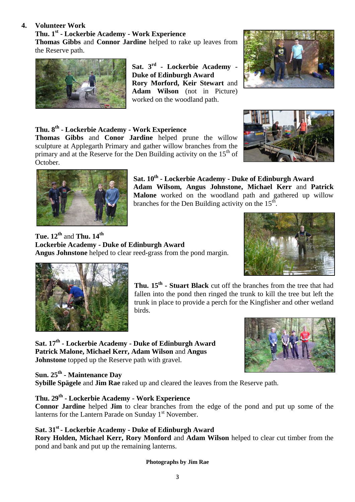## **4. Volunteer Work**

**Thu. 1st - Lockerbie Academy - Work Experience Thomas Gibbs** and **Connor Jardine** helped to rake up leaves from the Reserve path.



**Sat. 3rd - Lockerbie Academy - Duke of Edinburgh Award Rory Morford, Keir Stewart** and **Adam Wilson** (not in Picture) worked on the woodland path.



## **Thu. 8th - Lockerbie Academy - Work Experience**

**Thomas Gibbs** and **Conor Jardine** helped prune the willow sculpture at Applegarth Primary and gather willow branches from the primary and at the Reserve for the Den Building activity on the  $15<sup>th</sup>$  of October.





**Sat. 10th - Lockerbie Academy - Duke of Edinburgh Award Adam Wilsom, Angus Johnstone, Michael Kerr** and **Patrick Malone** worked on the woodland path and gathered up willow branches for the Den Building activity on the  $15^{th}$ .

**Tue. 12th** and **Thu. 14th Lockerbie Academy - Duke of Edinburgh Award Angus Johnstone** helped to clear reed-grass from the pond margin.





**Thu. 15th - Stuart Black** cut off the branches from the tree that had fallen into the pond then ringed the trunk to kill the tree but left the trunk in place to provide a perch for the Kingfisher and other wetland birds.

**Sat. 17th - Lockerbie Academy - Duke of Edinburgh Award Patrick Malone, Michael Kerr, Adam Wilson** and **Angus Johnstone** topped up the Reserve path with gravel.



**Sun. 25th - Maintenance Day** 

**Sybille Spägele** and **Jim Rae** raked up and cleared the leaves from the Reserve path.

## **Thu. 29th - Lockerbie Academy - Work Experience**

**Connor Jardine** helped **Jim** to clear branches from the edge of the pond and put up some of the lanterns for the Lantern Parade on Sunday  $1<sup>st</sup>$  November.

## **Sat. 31st - Lockerbie Academy - Duke of Edinburgh Award**

**Rory Holden, Michael Kerr, Rory Monford** and **Adam Wilson** helped to clear cut timber from the pond and bank and put up the remaining lanterns.

**Photographs by Jim Rae**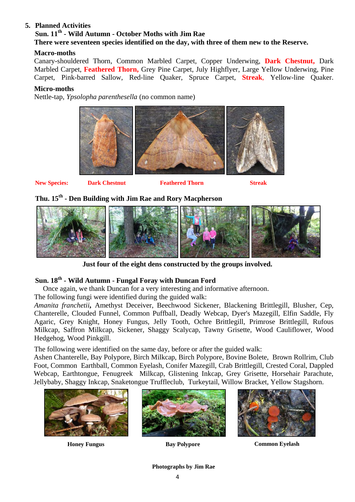## **5. Planned Activities**

## **Sun. 11th - Wild Autumn - October Moths with Jim Rae There were seventeen species identified on the day, with three of them new to the Reserve.**

## **Macro-moths**

Canary-shouldered Thorn, Common Marbled Carpet, Copper Underwing, **Dark Chestnut,** Dark Marbled Carpet, **Feathered Thorn,** Grey Pine Carpet, July Highflyer, Large Yellow Underwing, Pine Carpet*,* Pink-barred Sallow, Red-line Quaker, Spruce Carpet, **Streak**, Yellow-line Quaker.

## **Micro-moths**

Nettle-tap, *Ypsolopha parenthesella* (no common name)



**New Species: Dark Chestnut Feathered Thorn Streak**

## **Thu. 15th - Den Building with Jim Rae and Rory Macpherson**



**Just four of the eight dens constructed by the groups involved.**

## **Sun. 18th - Wild Autumn - Fungal Foray with Duncan Ford**

Once again, we thank Duncan for a very interesting and informative afternoon.

The following fungi were identified during the guided walk:

*Amanita franchetii***,** Amethyst Deceiver, Beechwood Sickener, Blackening Brittlegill, Blusher, Cep, Chanterelle, Clouded Funnel, Common Puffball, Deadly Webcap, Dyer's Mazegill, Elfin Saddle, Fly Agaric, Grey Knight, Honey Fungus, Jelly Tooth, Ochre Brittlegill, Primrose Brittlegill, Rufous Milkcap, Saffron Milkcap, Sickener, Shaggy Scalycap, Tawny Grisette, Wood Cauliflower, Wood Hedgehog, Wood Pinkgill.

The following were identified on the same day, before or after the guided walk:

 Ashen Chanterelle, Bay Polypore, Birch Milkcap, Birch Polypore, Bovine Bolete, Brown Rollrim, Club Foot, Common Earthball, Common Eyelash, Conifer Mazegill, Crab Brittlegill, Crested Coral, Dappled Webcap, Earthtongue, Fenugreek Milkcap, Glistening Inkcap, Grey Grisette, Horsehair Parachute, Jellybaby, Shaggy Inkcap, Snaketongue Truffleclub, Turkeytail, Willow Bracket, Yellow Stagshorn.







**Honey Fungus Bay Polypore Common Eyelash**

**Photographs by Jim Rae**